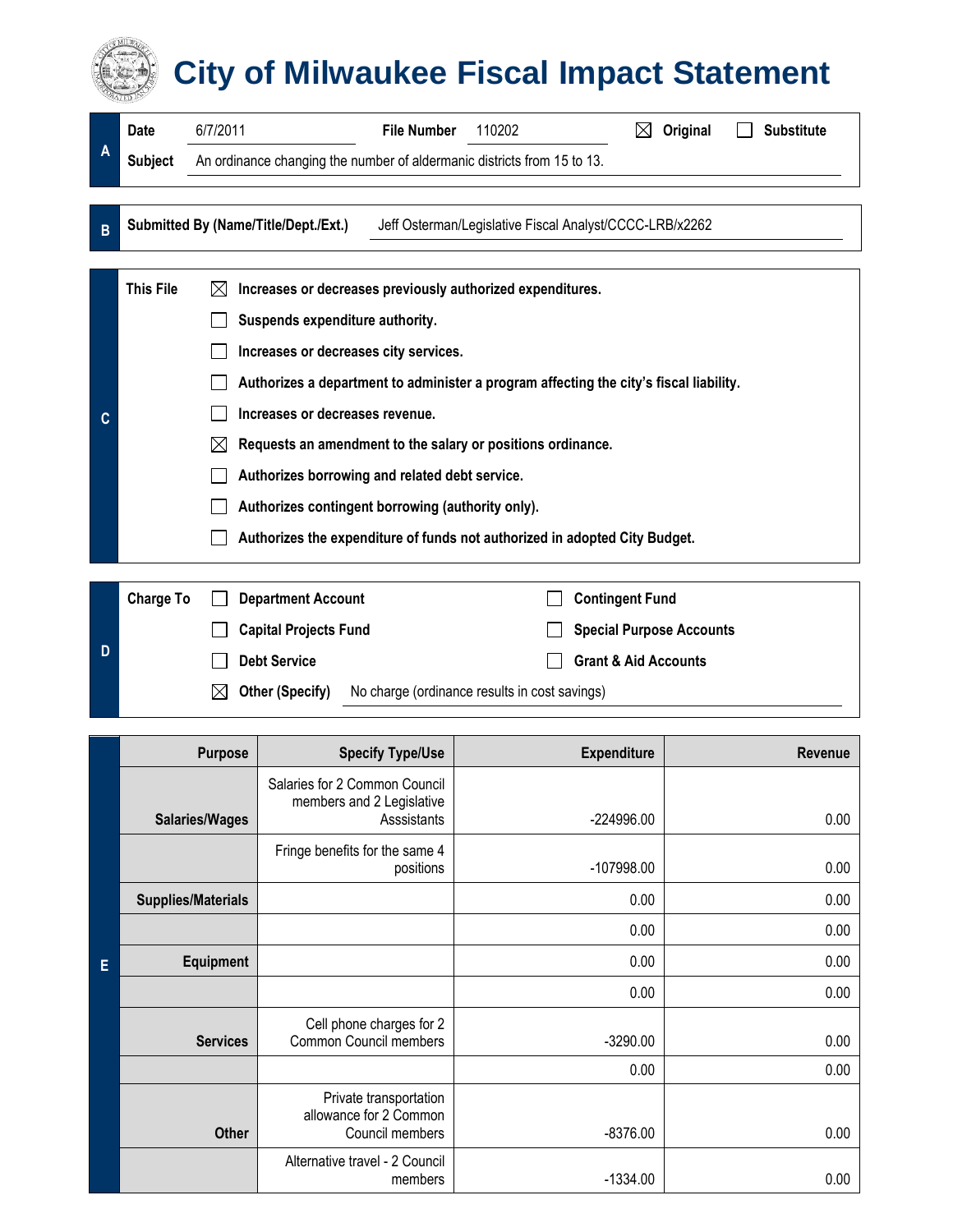## **City of Milwaukee Fiscal Impact Statement**

| A | 6/7/2011<br><b>Date</b> |                                                                                        | <b>File Number</b> | 110202                                                     | ⊠                               | Original |  | <b>Substitute</b> |
|---|-------------------------|----------------------------------------------------------------------------------------|--------------------|------------------------------------------------------------|---------------------------------|----------|--|-------------------|
|   | <b>Subject</b>          | An ordinance changing the number of aldermanic districts from 15 to 13.                |                    |                                                            |                                 |          |  |                   |
|   |                         |                                                                                        |                    |                                                            |                                 |          |  |                   |
| B |                         | Submitted By (Name/Title/Dept./Ext.)                                                   |                    | Jeff Osterman/Legislative Fiscal Analyst/CCCC-LRB/x2262    |                                 |          |  |                   |
|   |                         |                                                                                        |                    |                                                            |                                 |          |  |                   |
|   | <b>This File</b>        | $\boxtimes$                                                                            |                    | Increases or decreases previously authorized expenditures. |                                 |          |  |                   |
|   |                         | Suspends expenditure authority.                                                        |                    |                                                            |                                 |          |  |                   |
|   |                         | Increases or decreases city services.                                                  |                    |                                                            |                                 |          |  |                   |
|   |                         | Authorizes a department to administer a program affecting the city's fiscal liability. |                    |                                                            |                                 |          |  |                   |
| C |                         | Increases or decreases revenue.                                                        |                    |                                                            |                                 |          |  |                   |
|   |                         | Requests an amendment to the salary or positions ordinance.<br>$\bowtie$               |                    |                                                            |                                 |          |  |                   |
|   |                         | Authorizes borrowing and related debt service.                                         |                    |                                                            |                                 |          |  |                   |
|   |                         | Authorizes contingent borrowing (authority only).                                      |                    |                                                            |                                 |          |  |                   |
|   |                         | Authorizes the expenditure of funds not authorized in adopted City Budget.             |                    |                                                            |                                 |          |  |                   |
|   |                         |                                                                                        |                    |                                                            |                                 |          |  |                   |
|   | <b>Charge To</b>        | <b>Department Account</b>                                                              |                    |                                                            | <b>Contingent Fund</b>          |          |  |                   |
|   |                         | <b>Capital Projects Fund</b>                                                           |                    |                                                            | <b>Special Purpose Accounts</b> |          |  |                   |

**D** □ Debt Service Grant & Aid Accounts  **Other (Specify)** No charge (ordinance results in cost savings)

|   | <b>Purpose</b>            | <b>Specify Type/Use</b>                                                   | <b>Expenditure</b> | Revenue      |
|---|---------------------------|---------------------------------------------------------------------------|--------------------|--------------|
|   | <b>Salaries/Wages</b>     | Salaries for 2 Common Council<br>members and 2 Legislative<br>Asssistants | -224996.00         | 0.00         |
|   |                           | Fringe benefits for the same 4<br>positions                               | $-107998.00$       | 0.00         |
|   | <b>Supplies/Materials</b> |                                                                           | 0.00               | 0.00         |
|   |                           |                                                                           | 0.00               | 0.00         |
| E | Equipment                 |                                                                           | 0.00               | 0.00         |
|   |                           |                                                                           | 0.00               | 0.00         |
|   | <b>Services</b>           | Cell phone charges for 2<br>Common Council members                        | $-3290.00$<br>0.00 | 0.00<br>0.00 |
|   | <b>Other</b>              | Private transportation<br>allowance for 2 Common<br>Council members       | $-8376.00$         | 0.00         |
|   |                           | Alternative travel - 2 Council<br>members                                 | $-1334.00$         | 0.00         |